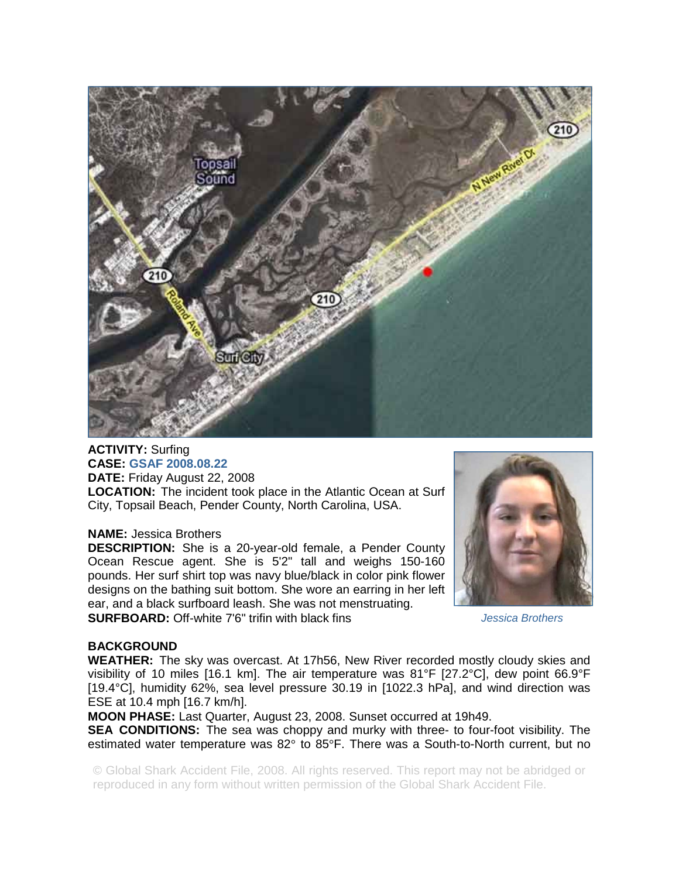

# **ACTIVITY:** Surfing **CASE: GSAF 2008.08.22**

**DATE:** Friday August 22, 2008 **LOCATION:** The incident took place in the Atlantic Ocean at Surf City, Topsail Beach, Pender County, North Carolina, USA.

#### **NAME:** Jessica Brothers

**DESCRIPTION:** She is a 20-year-old female, a Pender County Ocean Rescue agent. She is 5'2" tall and weighs 150-160 pounds. Her surf shirt top was navy blue/black in color pink flower designs on the bathing suit bottom. She wore an earring in her left ear, and a black surfboard leash. She was not menstruating. **SURFBOARD:** Off-white 7'6" trifin with black fins



*Jessica Brothers* 

# **BACKGROUND**

**WEATHER:** The sky was overcast. At 17h56, New River recorded mostly cloudy skies and visibility of 10 miles [16.1 km]. The air temperature was 81°F [27.2°C], dew point 66.9°F [19.4°C], humidity 62%, sea level pressure 30.19 in [1022.3 hPa], and wind direction was ESE at 10.4 mph [16.7 km/h].

**MOON PHASE:** Last Quarter, August 23, 2008. Sunset occurred at 19h49.

**SEA CONDITIONS:** The sea was choppy and murky with three- to four-foot visibility. The estimated water temperature was 82° to 85°F. There was a South-to-North current, but no

© Global Shark Accident File, 2008. All rights reserved. This report may not be abridged or reproduced in any form without written permission of the Global Shark Accident File.